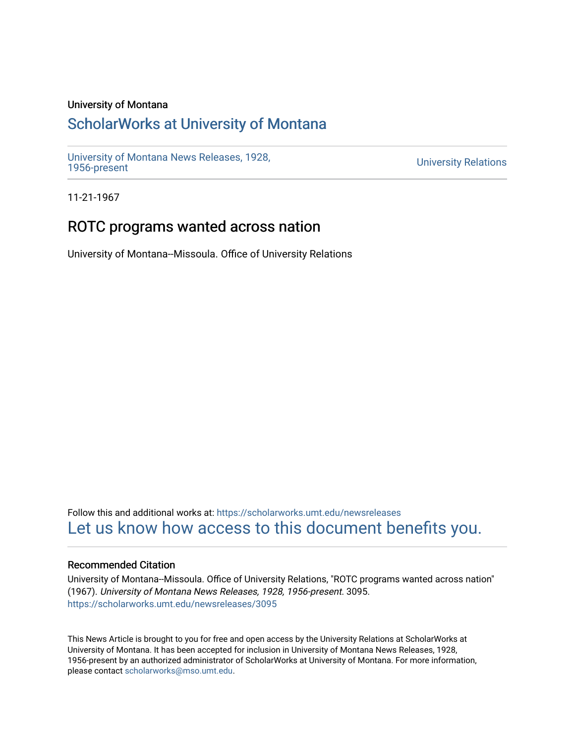#### University of Montana

## [ScholarWorks at University of Montana](https://scholarworks.umt.edu/)

[University of Montana News Releases, 1928,](https://scholarworks.umt.edu/newsreleases) 

**University Relations** 

11-21-1967

### ROTC programs wanted across nation

University of Montana--Missoula. Office of University Relations

Follow this and additional works at: [https://scholarworks.umt.edu/newsreleases](https://scholarworks.umt.edu/newsreleases?utm_source=scholarworks.umt.edu%2Fnewsreleases%2F3095&utm_medium=PDF&utm_campaign=PDFCoverPages) [Let us know how access to this document benefits you.](https://goo.gl/forms/s2rGfXOLzz71qgsB2) 

#### Recommended Citation

University of Montana--Missoula. Office of University Relations, "ROTC programs wanted across nation" (1967). University of Montana News Releases, 1928, 1956-present. 3095. [https://scholarworks.umt.edu/newsreleases/3095](https://scholarworks.umt.edu/newsreleases/3095?utm_source=scholarworks.umt.edu%2Fnewsreleases%2F3095&utm_medium=PDF&utm_campaign=PDFCoverPages) 

This News Article is brought to you for free and open access by the University Relations at ScholarWorks at University of Montana. It has been accepted for inclusion in University of Montana News Releases, 1928, 1956-present by an authorized administrator of ScholarWorks at University of Montana. For more information, please contact [scholarworks@mso.umt.edu.](mailto:scholarworks@mso.umt.edu)